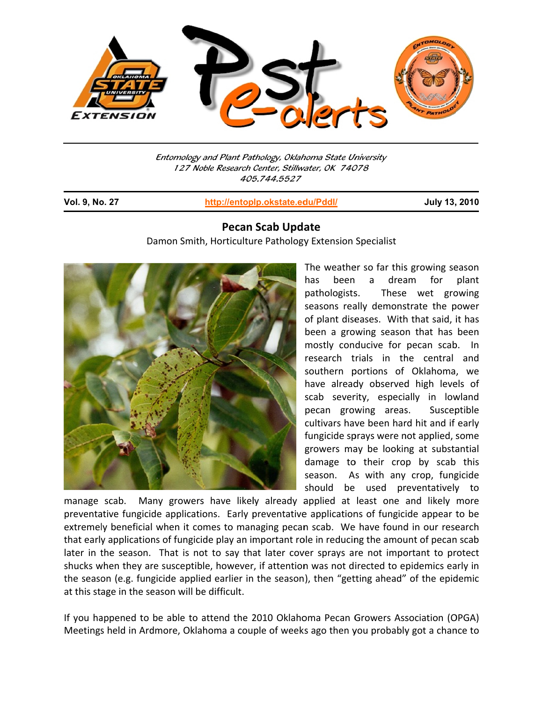

Entomology and Plant Pathology, Oklahoma State University 127 Noble Research Center, Stillwater, OK 74078 405 5.744.5527

**Vol. 9, No o. 27**

j

**http://entop lp.okstate.ed du/Pddl/**

**July 13, , 2010**

## **Pecan Scab Update**

Damon Smith, Horticulture Pathology Extension Specialist



The weather so far this growing season has been pathologists seasons really demonstrate the power of plant diseases. With that said, it has been a growing season that has been mostly con ducive for pecan scab b. In research trials in the central and southern portions of Oklahoma, we have already observed high levels of scab severity, especially in lowland pecan growing areas cultivars have been hard hit and if early fungicide sprays were not applied, some growers may be looking at substantial damage to their crop by scab this season. As with any crop, fungicide should be used preventatively to a drea am for s. These wet growing s. Susceptible plant

manage scab. Ma preventative fungicide applications. Early preventative applications of fungicide appear to be extremely beneficial when it comes to managing pecan scab. We have found in our research that early applications of fungicide play an important role in reducing the amount of pecan scab later in the season. That is not to say that later cover sprays are not important to protect shucks when they are susceptible, however, if attention was not directed to epidemics early in the season (e.g. fungicide applied earlier in the season), then "getting ahead" of the epidemic at this stage in the season will be difficult. ny growers have likely already applied at least one and likely more

If you happened to be able to attend the 2010 Oklahoma Pecan Growers Association (OPGA) Meetings held in Ardmore, Oklahoma a couple of weeks ago then you probably got a chance to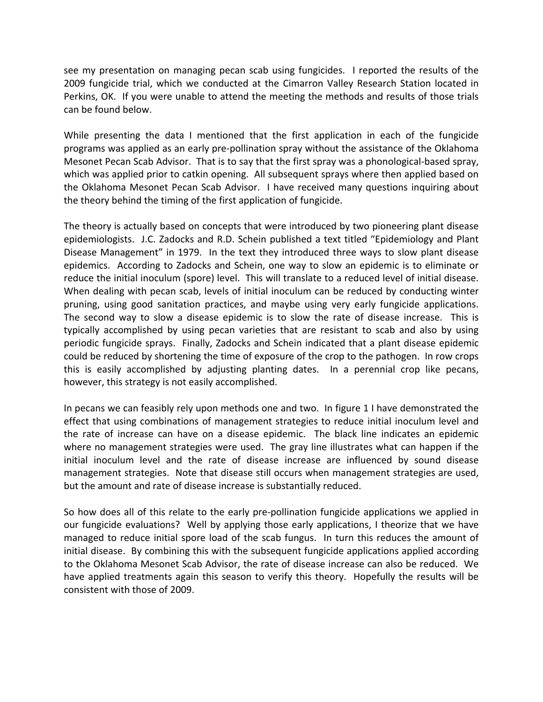see my presentation on managing pecan scab using fungicides. I reported the results of the 2009 fungicide trial, which we conducted at the Cimarron Valley Research Station located in Perkins, OK. If you were unable to attend the meeting the methods and results of those trials can be found below.

While presenting the data I mentioned that the first application in each of the fungicide programs was applied as an early pre‐pollination spray without the assistance of the Oklahoma Mesonet Pecan Scab Advisor. That is to say that the first spray was a phonological-based spray, which was applied prior to catkin opening. All subsequent sprays where then applied based on the Oklahoma Mesonet Pecan Scab Advisor. I have received many questions inquiring about the theory behind the timing of the first application of fungicide.

The theory is actually based on concepts that were introduced by two pioneering plant disease epidemiologists. J.C. Zadocks and R.D. Schein published a text titled "Epidemiology and Plant Disease Management" in 1979. In the text they introduced three ways to slow plant disease epidemics. According to Zadocks and Schein, one way to slow an epidemic is to eliminate or reduce the initial inoculum (spore) level. This will translate to a reduced level of initial disease. When dealing with pecan scab, levels of initial inoculum can be reduced by conducting winter pruning, using good sanitation practices, and maybe using very early fungicide applications. The second way to slow a disease epidemic is to slow the rate of disease increase. This is typically accomplished by using pecan varieties that are resistant to scab and also by using periodic fungicide sprays. Finally, Zadocks and Schein indicated that a plant disease epidemic could be reduced by shortening the time of exposure of the crop to the pathogen. In row crops this is easily accomplished by adjusting planting dates. In a perennial crop like pecans, however, this strategy is not easily accomplished.

In pecans we can feasibly rely upon methods one and two. In figure 1 I have demonstrated the effect that using combinations of management strategies to reduce initial inoculum level and the rate of increase can have on a disease epidemic. The black line indicates an epidemic where no management strategies were used. The gray line illustrates what can happen if the initial inoculum level and the rate of disease increase are influenced by sound disease management strategies. Note that disease still occurs when management strategies are used, but the amount and rate of disease increase is substantially reduced.

So how does all of this relate to the early pre-pollination fungicide applications we applied in our fungicide evaluations? Well by applying those early applications, I theorize that we have managed to reduce initial spore load of the scab fungus. In turn this reduces the amount of initial disease. By combining this with the subsequent fungicide applications applied according to the Oklahoma Mesonet Scab Advisor, the rate of disease increase can also be reduced. We have applied treatments again this season to verify this theory. Hopefully the results will be consistent with those of 2009.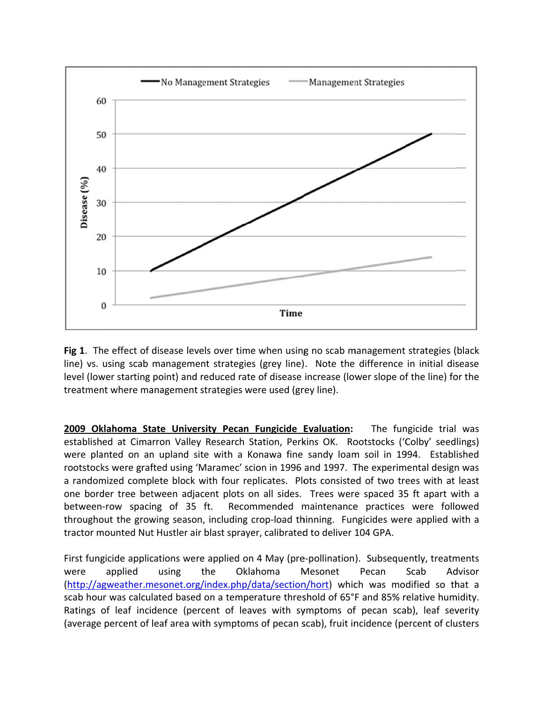

Fig 1. The effect of disease levels over time when using no scab management strategies (black line) vs. using scab management strategies (grey line). Note the difference in initial disease level (lower starting point) and reduced rate of disease increase (lower slope of the line) for the treatment where management strategies were used (grey line).

2009 Oklahoma State University Pecan Fungicide Evaluation: The fungicide trial was established at Cimarron Valley Research Station, Perkins OK. Rootstocks ('Colby' seedlings) were planted on an upland site with a Konawa fine sandy loam soil in 1994. Established rootstocks were grafted using 'Maramec' scion in 1996 and 1997. The experimental design was a randomized complete block with four replicates. Plots consisted of two trees with at least one border tree between adjacent plots on all sides. Trees were spaced 35 ft apart with a between-row spacing of 35 ft. Recommended maintenance practices were followed throughout the growing season, including crop-load thinning. Fungicides were applied with a tractor mounted Nut Hustler air blast sprayer, calibrated to deliver 104 GPA.

First fungicide applications were applied on 4 May (pre-pollination). Subsequently, treatments were applied using the Oklahoma Mesonet Pecan Scab Advisor (http://agweather.mesonet.org/index.php/data/section/hort) which was modified so that a scab hour was calculated based on a temperature threshold of 65°F and 85% relative humidity. Ratings of leaf incidence (percent of leaves with symptoms of pecan scab), leaf severity (average percent of leaf area with symptoms of pecan scab), fruit incidence (percent of clusters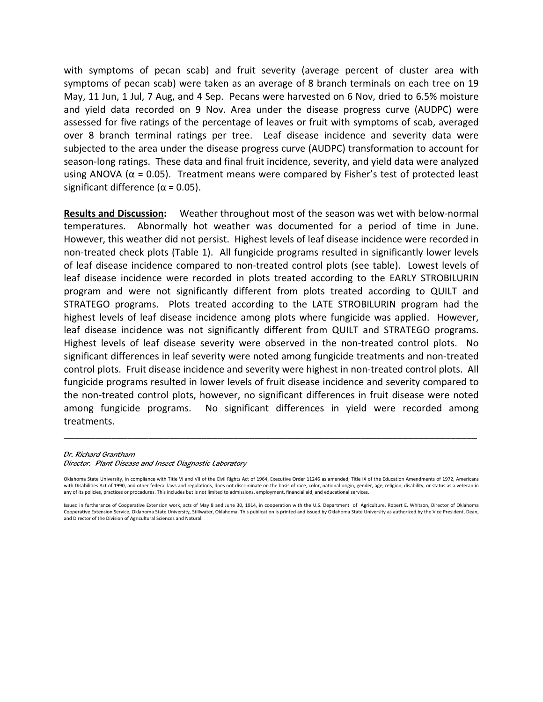with symptoms of pecan scab) and fruit severity (average percent of cluster area with symptoms of pecan scab) were taken as an average of 8 branch terminals on each tree on 19 May, 11 Jun, 1 Jul, 7 Aug, and 4 Sep. Pecans were harvested on 6 Nov, dried to 6.5% moisture and yield data recorded on 9 Nov. Area under the disease progress curve (AUDPC) were assessed for five ratings of the percentage of leaves or fruit with symptoms of scab, averaged over 8 branch terminal ratings per tree. Leaf disease incidence and severity data were subjected to the area under the disease progress curve (AUDPC) transformation to account for season-long ratings. These data and final fruit incidence, severity, and yield data were analyzed using ANOVA ( $\alpha$  = 0.05). Treatment means were compared by Fisher's test of protected least significant difference ( $\alpha$  = 0.05).

**Results and Discussion:** Weather throughout most of the season was wet with below‐normal temperatures. Abnormally hot weather was documented for a period of time in June. However, this weather did not persist. Highest levels of leaf disease incidence were recorded in non‐treated check plots (Table 1). All fungicide programs resulted in significantly lower levels of leaf disease incidence compared to non‐treated control plots (see table). Lowest levels of leaf disease incidence were recorded in plots treated according to the EARLY STROBILURIN program and were not significantly different from plots treated according to QUILT and STRATEGO programs. Plots treated according to the LATE STROBILURIN program had the highest levels of leaf disease incidence among plots where fungicide was applied. However, leaf disease incidence was not significantly different from QUILT and STRATEGO programs. Highest levels of leaf disease severity were observed in the non-treated control plots. No significant differences in leaf severity were noted among fungicide treatments and non-treated control plots. Fruit disease incidence and severity were highest in non-treated control plots. All fungicide programs resulted in lower levels of fruit disease incidence and severity compared to the non‐treated control plots, however, no significant differences in fruit disease were noted among fungicide programs. No significant differences in yield were recorded among treatments.

## Dr. Richard Grantham

Director, Plant Disease and Insect Diagnostic Laboratory

\_\_\_\_\_\_\_\_\_\_\_\_\_\_\_\_\_\_\_\_\_\_\_\_\_\_\_\_\_\_\_\_\_\_\_\_\_\_\_\_\_\_\_\_\_\_\_\_\_\_\_\_\_\_\_\_\_\_\_\_\_\_\_\_\_\_\_\_\_\_\_\_\_\_\_\_\_\_

Oklahoma State University, in compliance with Title VI and VII of the Civil Rights Act of 1964, Executive Order 11246 as amended, Title IX of the Education Amendments of 1972, Americans with Disabilities Act of 1990, and other federal laws and regulations, does not discriminate on the basis of race, color, national origin, gender, age, religion, disability, or status as a veteran in any of its policies, practices or procedures. This includes but is not limited to admissions, employment, financial aid, and educational services.

Issued in furtherance of Cooperative Extension work, acts of May 8 and June 30, 1914, in cooperation with the U.S. Department of Agriculture, Robert E. Whitson, Director of Oklahoma Cooperative Extension Service, Oklahoma State University, Stillwater, Oklahoma. This publication is printed and issued by Oklahoma State University as authorized by the Vice President, Dean, and Director of the Division of Agricultural Sciences and Natural.